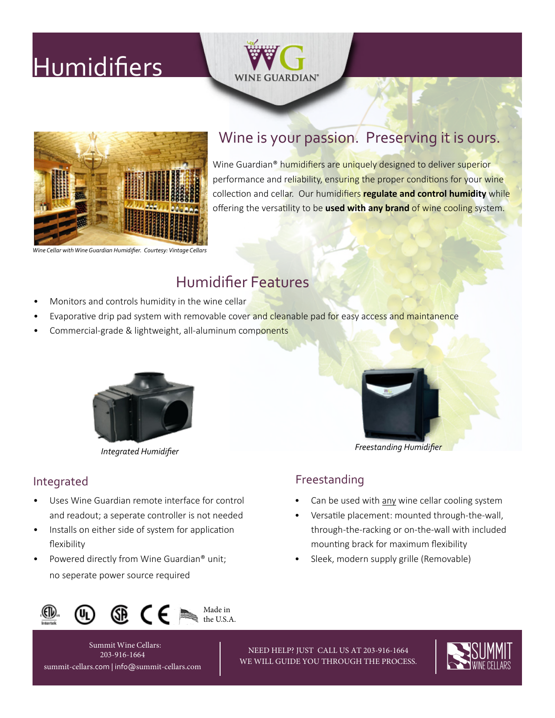# **[Humidifiers](https://wineguardian.com/wine-cellar-cooling-units/humidifiers/)**





### Wine is your passion. Preserving it is ours.

Wine Guardian<sup>®</sup> humidifiers are uniquely designed to deliver superior performance and reliability, ensuring the proper conditions for your wine collection and cellar. Our humidifiers **regulate and control humidity** while offering the versatility to be **used with any brand** of wine cooling system.

*[Wine Cellar with Wine Guardian Humidifier. Courtesy:](https://wineguardian.com/support-wine-cellar-consultation/distributors-united-states-canada-international/distributor-projects-gallery/vintage-cellars-projects-gallery/) [Vintage Cellars](http://www.vintagecellars.com/wine-guardian)*

## Humidifier Features

- Monitors and controls humidity in the wine cellar
- Evaporative drip pad system with removable cover and cleanable pad for easy access and maintanence
- Commercial-grade & lightweight, all-aluminum components





*[Freestanding Humidifier](https://wineguardian.com/wine-cellar-cooling-units/humidifiers/) [Integrated Humidifier](https://wineguardian.com/shop/integrated-humidifier/)*

Can be used with any wine cellar cooling system • Versatile placement: mounted through-the-wall, through-the-racking or on-the-wall with included

mounting brack for maximum flexibility • Sleek, modern supply grille (Removable)

#### Integrated **Freestanding**

- Uses Wine Guardian remote interface for control and readout; a seperate controller is not needed
- Installs on either side of system for application flexibility
- Powered directly from Wine Guardian® unit; no seperate power source required





NEED HELP? JUST CALL US AT 203-916-1664 WE WILL GUIDE YOU THROUGH THE PROCESS.